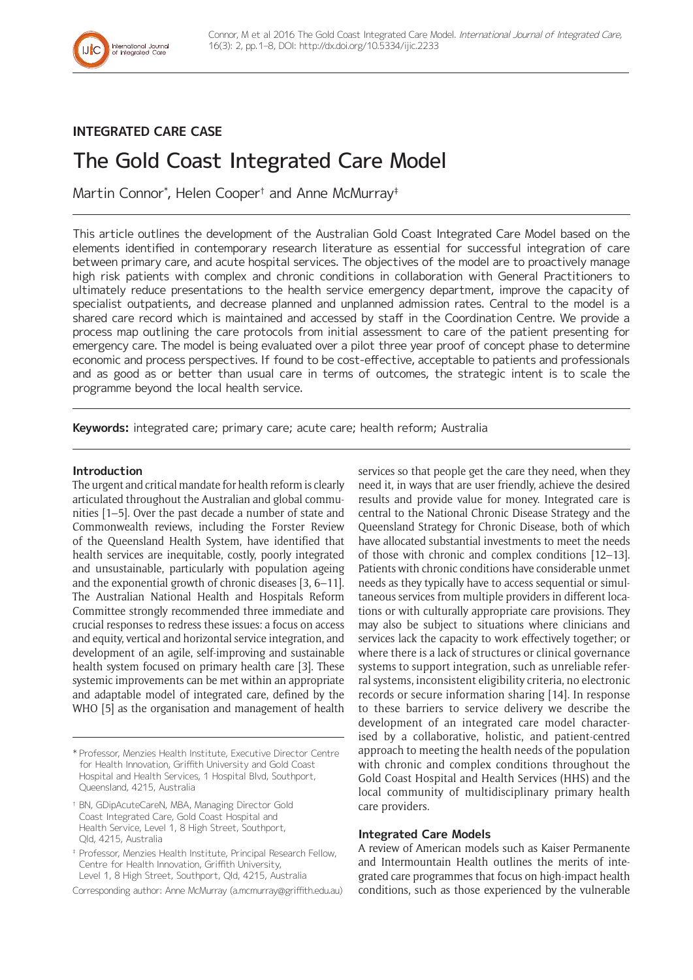

## **INTEGRATED CARE CASE**

# The Gold Coast Integrated Care Model

Martin Connor\* , Helen Cooper† and Anne McMurray‡

This article outlines the development of the Australian Gold Coast Integrated Care Model based on the elements identified in contemporary research literature as essential for successful integration of care between primary care, and acute hospital services. The objectives of the model are to proactively manage high risk patients with complex and chronic conditions in collaboration with General Practitioners to ultimately reduce presentations to the health service emergency department, improve the capacity of specialist outpatients, and decrease planned and unplanned admission rates. Central to the model is a shared care record which is maintained and accessed by staff in the Coordination Centre. We provide a process map outlining the care protocols from initial assessment to care of the patient presenting for emergency care. The model is being evaluated over a pilot three year proof of concept phase to determine economic and process perspectives. If found to be cost-effective, acceptable to patients and professionals and as good as or better than usual care in terms of outcomes, the strategic intent is to scale the programme beyond the local health service.

**Keywords:** integrated care; primary care; acute care; health reform; Australia

#### **Introduction**

The urgent and critical mandate for health reform is clearly articulated throughout the Australian and global communities [1–5]. Over the past decade a number of state and Commonwealth reviews, including the Forster Review of the Queensland Health System, have identified that health services are inequitable, costly, poorly integrated and unsustainable, particularly with population ageing and the exponential growth of chronic diseases [3, 6–11]. The Australian National Health and Hospitals Reform Committee strongly recommended three immediate and crucial responses to redress these issues: a focus on access and equity, vertical and horizontal service integration, and development of an agile, self-improving and sustainable health system focused on primary health care [3]. These systemic improvements can be met within an appropriate and adaptable model of integrated care, defined by the WHO [5] as the organisation and management of health

Corresponding author: Anne McMurray [\(a.mcmurray@griffith.edu.au](mailto:a.mcmurray@griffith.edu.au))

services so that people get the care they need, when they need it, in ways that are user friendly, achieve the desired results and provide value for money. Integrated care is central to the National Chronic Disease Strategy and the Queensland Strategy for Chronic Disease, both of which have allocated substantial investments to meet the needs of those with chronic and complex conditions [12–13]. Patients with chronic conditions have considerable unmet needs as they typically have to access sequential or simultaneous services from multiple providers in different locations or with culturally appropriate care provisions. They may also be subject to situations where clinicians and services lack the capacity to work effectively together; or where there is a lack of structures or clinical governance systems to support integration, such as unreliable referral systems, inconsistent eligibility criteria, no electronic records or secure information sharing [14]. In response to these barriers to service delivery we describe the development of an integrated care model characterised by a collaborative, holistic, and patient-centred approach to meeting the health needs of the population with chronic and complex conditions throughout the Gold Coast Hospital and Health Services (HHS) and the local community of multidisciplinary primary health care providers.

#### **Integrated Care Models**

A review of American models such as Kaiser Permanente and Intermountain Health outlines the merits of integrated care programmes that focus on high-impact health conditions, such as those experienced by the vulnerable

<sup>\*</sup> Professor, Menzies Health Institute, Executive Director Centre for Health Innovation, Griffith University and Gold Coast Hospital and Health Services, 1 Hospital Blvd, Southport, Queensland, 4215, Australia

<sup>†</sup> BN, GDipAcuteCareN, MBA, Managing Director Gold Coast Integrated Care, Gold Coast Hospital and Health Service, Level 1, 8 High Street, Southport, Qld, 4215, Australia

<sup>‡</sup> Professor, Menzies Health Institute, Principal Research Fellow, Centre for Health Innovation, Griffith University, Level 1, 8 High Street, Southport, Qld, 4215, Australia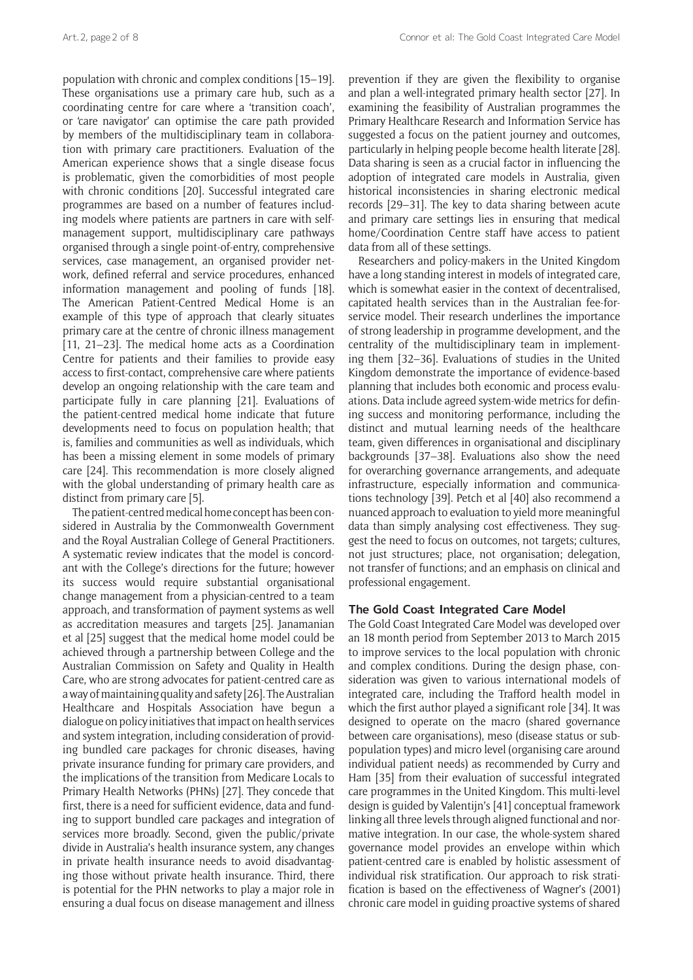population with chronic and complex conditions [15–19]. These organisations use a primary care hub, such as a coordinating centre for care where a 'transition coach', or 'care navigator' can optimise the care path provided by members of the multidisciplinary team in collaboration with primary care practitioners. Evaluation of the American experience shows that a single disease focus is problematic, given the comorbidities of most people with chronic conditions [20]. Successful integrated care programmes are based on a number of features including models where patients are partners in care with selfmanagement support, multidisciplinary care pathways organised through a single point-of-entry, comprehensive services, case management, an organised provider network, defined referral and service procedures, enhanced information management and pooling of funds [18]. The American Patient-Centred Medical Home is an example of this type of approach that clearly situates primary care at the centre of chronic illness management [11, 21–23]. The medical home acts as a Coordination Centre for patients and their families to provide easy access to first-contact, comprehensive care where patients develop an ongoing relationship with the care team and participate fully in care planning [21]. Evaluations of the patient-centred medical home indicate that future developments need to focus on population health; that is, families and communities as well as individuals, which has been a missing element in some models of primary care [24]. This recommendation is more closely aligned with the global understanding of primary health care as distinct from primary care [5].

The patient-centred medical home concept has been considered in Australia by the Commonwealth Government and the Royal Australian College of General Practitioners. A systematic review indicates that the model is concordant with the College's directions for the future; however its success would require substantial organisational change management from a physician-centred to a team approach, and transformation of payment systems as well as accreditation measures and targets [25]. Janamanian et al [25] suggest that the medical home model could be achieved through a partnership between College and the Australian Commission on Safety and Quality in Health Care, who are strong advocates for patient-centred care as a way of maintaining quality and safety [26]. The Australian Healthcare and Hospitals Association have begun a dialogue on policy initiatives that impact on health services and system integration, including consideration of providing bundled care packages for chronic diseases, having private insurance funding for primary care providers, and the implications of the transition from Medicare Locals to Primary Health Networks (PHNs) [27]. They concede that first, there is a need for sufficient evidence, data and funding to support bundled care packages and integration of services more broadly. Second, given the public/private divide in Australia's health insurance system, any changes in private health insurance needs to avoid disadvantaging those without private health insurance. Third, there is potential for the PHN networks to play a major role in ensuring a dual focus on disease management and illness

prevention if they are given the flexibility to organise and plan a well-integrated primary health sector [27]. In examining the feasibility of Australian programmes the Primary Healthcare Research and Information Service has suggested a focus on the patient journey and outcomes, particularly in helping people become health literate [28]. Data sharing is seen as a crucial factor in influencing the adoption of integrated care models in Australia, given historical inconsistencies in sharing electronic medical records [29–31]. The key to data sharing between acute and primary care settings lies in ensuring that medical home/Coordination Centre staff have access to patient data from all of these settings.

Researchers and policy-makers in the United Kingdom have a long standing interest in models of integrated care, which is somewhat easier in the context of decentralised, capitated health services than in the Australian fee-forservice model. Their research underlines the importance of strong leadership in programme development, and the centrality of the multidisciplinary team in implementing them [32–36]. Evaluations of studies in the United Kingdom demonstrate the importance of evidence-based planning that includes both economic and process evaluations. Data include agreed system-wide metrics for defining success and monitoring performance, including the distinct and mutual learning needs of the healthcare team, given differences in organisational and disciplinary backgrounds [37–38]. Evaluations also show the need for overarching governance arrangements, and adequate infrastructure, especially information and communications technology [39]. Petch et al [40] also recommend a nuanced approach to evaluation to yield more meaningful data than simply analysing cost effectiveness. They suggest the need to focus on outcomes, not targets; cultures, not just structures; place, not organisation; delegation, not transfer of functions; and an emphasis on clinical and professional engagement.

#### **The Gold Coast Integrated Care Model**

The Gold Coast Integrated Care Model was developed over an 18 month period from September 2013 to March 2015 to improve services to the local population with chronic and complex conditions. During the design phase, consideration was given to various international models of integrated care, including the Trafford health model in which the first author played a significant role [34]. It was designed to operate on the macro (shared governance between care organisations), meso (disease status or subpopulation types) and micro level (organising care around individual patient needs) as recommended by Curry and Ham [35] from their evaluation of successful integrated care programmes in the United Kingdom. This multi-level design is guided by Valentijn's [41] conceptual framework linking all three levels through aligned functional and normative integration. In our case, the whole-system shared governance model provides an envelope within which patient-centred care is enabled by holistic assessment of individual risk stratification. Our approach to risk stratification is based on the effectiveness of Wagner's (2001) chronic care model in guiding proactive systems of shared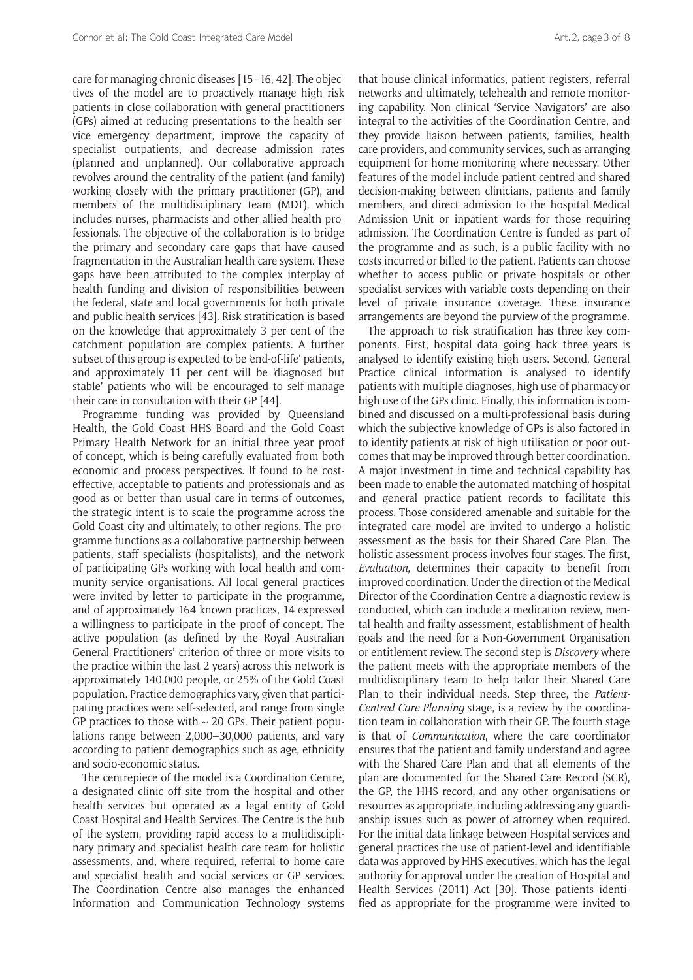care for managing chronic diseases [15–16, 42]. The objectives of the model are to proactively manage high risk patients in close collaboration with general practitioners (GPs) aimed at reducing presentations to the health service emergency department, improve the capacity of specialist outpatients, and decrease admission rates (planned and unplanned). Our collaborative approach revolves around the centrality of the patient (and family) working closely with the primary practitioner (GP), and members of the multidisciplinary team (MDT), which includes nurses, pharmacists and other allied health professionals. The objective of the collaboration is to bridge the primary and secondary care gaps that have caused fragmentation in the Australian health care system. These gaps have been attributed to the complex interplay of health funding and division of responsibilities between the federal, state and local governments for both private and public health services [43]. Risk stratification is based on the knowledge that approximately 3 per cent of the catchment population are complex patients. A further subset of this group is expected to be 'end-of-life' patients, and approximately 11 per cent will be 'diagnosed but stable' patients who will be encouraged to self-manage their care in consultation with their GP [44].

Programme funding was provided by Queensland Health, the Gold Coast HHS Board and the Gold Coast Primary Health Network for an initial three year proof of concept, which is being carefully evaluated from both economic and process perspectives. If found to be costeffective, acceptable to patients and professionals and as good as or better than usual care in terms of outcomes, the strategic intent is to scale the programme across the Gold Coast city and ultimately, to other regions. The programme functions as a collaborative partnership between patients, staff specialists (hospitalists), and the network of participating GPs working with local health and community service organisations. All local general practices were invited by letter to participate in the programme, and of approximately 164 known practices, 14 expressed a willingness to participate in the proof of concept. The active population (as defined by the Royal Australian General Practitioners' criterion of three or more visits to the practice within the last 2 years) across this network is approximately 140,000 people, or 25% of the Gold Coast population. Practice demographics vary, given that participating practices were self-selected, and range from single GP practices to those with  $\sim$  20 GPs. Their patient populations range between 2,000–30,000 patients, and vary according to patient demographics such as age, ethnicity and socio-economic status.

The centrepiece of the model is a Coordination Centre, a designated clinic off site from the hospital and other health services but operated as a legal entity of Gold Coast Hospital and Health Services. The Centre is the hub of the system, providing rapid access to a multidisciplinary primary and specialist health care team for holistic assessments, and, where required, referral to home care and specialist health and social services or GP services. The Coordination Centre also manages the enhanced Information and Communication Technology systems that house clinical informatics, patient registers, referral networks and ultimately, telehealth and remote monitoring capability. Non clinical 'Service Navigators' are also integral to the activities of the Coordination Centre, and they provide liaison between patients, families, health care providers, and community services, such as arranging equipment for home monitoring where necessary. Other features of the model include patient-centred and shared decision-making between clinicians, patients and family members, and direct admission to the hospital Medical Admission Unit or inpatient wards for those requiring admission. The Coordination Centre is funded as part of the programme and as such, is a public facility with no costs incurred or billed to the patient. Patients can choose whether to access public or private hospitals or other specialist services with variable costs depending on their level of private insurance coverage. These insurance arrangements are beyond the purview of the programme.

The approach to risk stratification has three key components. First, hospital data going back three years is analysed to identify existing high users. Second, General Practice clinical information is analysed to identify patients with multiple diagnoses, high use of pharmacy or high use of the GPs clinic. Finally, this information is combined and discussed on a multi-professional basis during which the subjective knowledge of GPs is also factored in to identify patients at risk of high utilisation or poor outcomes that may be improved through better coordination. A major investment in time and technical capability has been made to enable the automated matching of hospital and general practice patient records to facilitate this process. Those considered amenable and suitable for the integrated care model are invited to undergo a holistic assessment as the basis for their Shared Care Plan. The holistic assessment process involves four stages. The first, *Evaluation*, determines their capacity to benefit from improved coordination. Under the direction of the Medical Director of the Coordination Centre a diagnostic review is conducted, which can include a medication review, mental health and frailty assessment, establishment of health goals and the need for a Non-Government Organisation or entitlement review. The second step is *Discovery* where the patient meets with the appropriate members of the multidisciplinary team to help tailor their Shared Care Plan to their individual needs. Step three, the *Patient-Centred Care Planning* stage, is a review by the coordination team in collaboration with their GP. The fourth stage is that of *Communication*, where the care coordinator ensures that the patient and family understand and agree with the Shared Care Plan and that all elements of the plan are documented for the Shared Care Record (SCR), the GP, the HHS record, and any other organisations or resources as appropriate, including addressing any guardianship issues such as power of attorney when required. For the initial data linkage between Hospital services and general practices the use of patient-level and identifiable data was approved by HHS executives, which has the legal authority for approval under the creation of Hospital and Health Services (2011) Act [30]. Those patients identified as appropriate for the programme were invited to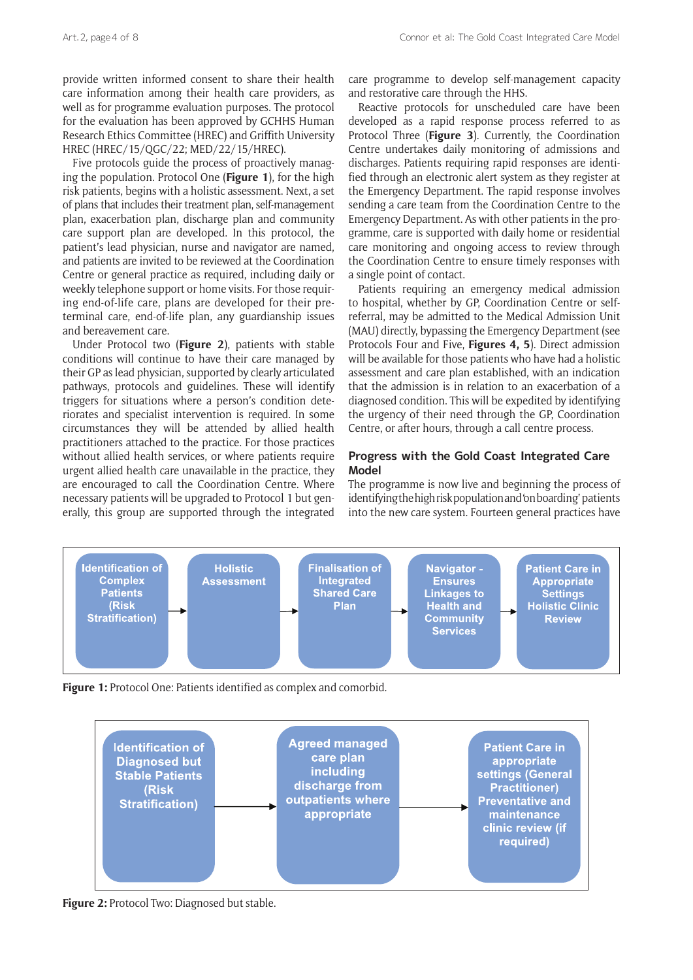provide written informed consent to share their health care information among their health care providers, as well as for programme evaluation purposes. The protocol for the evaluation has been approved by GCHHS Human Research Ethics Committee (HREC) and Griffith University HREC (HREC/15/QGC/22; MED/22/15/HREC).

Five protocols guide the process of proactively managing the population. Protocol One (**Figure 1**), for the high risk patients, begins with a holistic assessment. Next, a set of plans that includes their treatment plan, self-management plan, exacerbation plan, discharge plan and community care support plan are developed. In this protocol, the patient's lead physician, nurse and navigator are named, and patients are invited to be reviewed at the Coordination Centre or general practice as required, including daily or weekly telephone support or home visits. For those requiring end-of-life care, plans are developed for their preterminal care, end-of-life plan, any guardianship issues and bereavement care.

Under Protocol two (**Figure 2**), patients with stable conditions will continue to have their care managed by their GP as lead physician, supported by clearly articulated pathways, protocols and guidelines. These will identify triggers for situations where a person's condition deteriorates and specialist intervention is required. In some circumstances they will be attended by allied health practitioners attached to the practice. For those practices without allied health services, or where patients require urgent allied health care unavailable in the practice, they are encouraged to call the Coordination Centre. Where necessary patients will be upgraded to Protocol 1 but generally, this group are supported through the integrated

care programme to develop self-management capacity and restorative care through the HHS.

Reactive protocols for unscheduled care have been developed as a rapid response process referred to as Protocol Three (**Figure 3**). Currently, the Coordination Centre undertakes daily monitoring of admissions and discharges. Patients requiring rapid responses are identified through an electronic alert system as they register at the Emergency Department. The rapid response involves sending a care team from the Coordination Centre to the Emergency Department. As with other patients in the programme, care is supported with daily home or residential care monitoring and ongoing access to review through the Coordination Centre to ensure timely responses with a single point of contact.

Patients requiring an emergency medical admission to hospital, whether by GP, Coordination Centre or selfreferral, may be admitted to the Medical Admission Unit (MAU) directly, bypassing the Emergency Department (see Protocols Four and Five, **Figures 4, 5**). Direct admission will be available for those patients who have had a holistic assessment and care plan established, with an indication that the admission is in relation to an exacerbation of a diagnosed condition. This will be expedited by identifying the urgency of their need through the GP, Coordination Centre, or after hours, through a call centre process.

#### **Progress with the Gold Coast Integrated Care Model**

The programme is now live and beginning the process of identifying the high risk population and 'on boarding' patients into the new care system. Fourteen general practices have



**Figure 1:** Protocol One: Patients identified as complex and comorbid.



**Figure 2:** Protocol Two: Diagnosed but stable.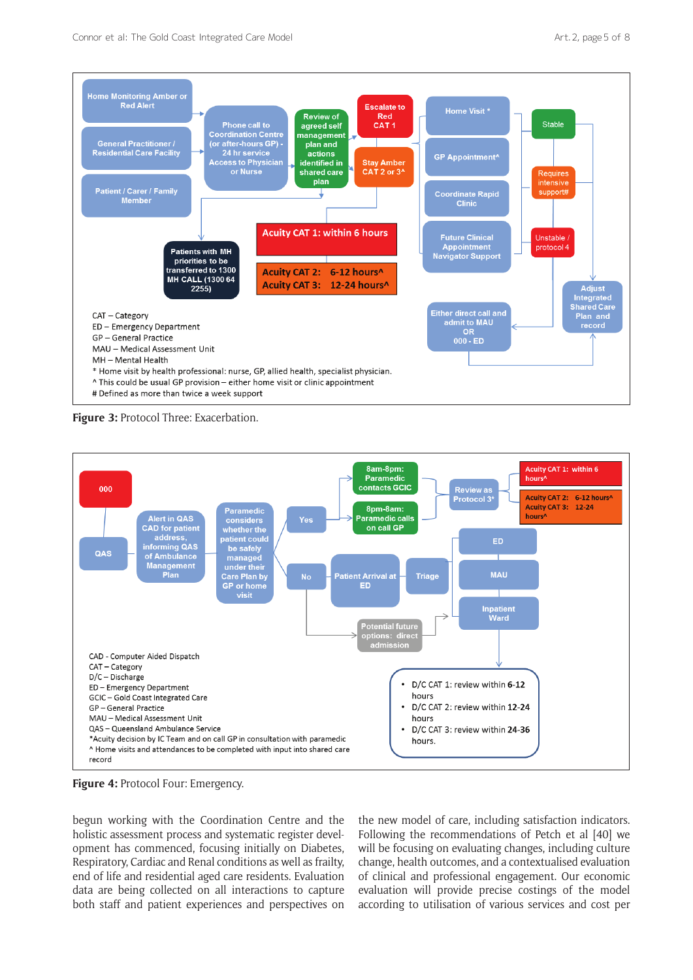

**Figure 3:** Protocol Three: Exacerbation.



**Figure 4:** Protocol Four: Emergency.

begun working with the Coordination Centre and the holistic assessment process and systematic register development has commenced, focusing initially on Diabetes, Respiratory, Cardiac and Renal conditions as well as frailty, end of life and residential aged care residents. Evaluation data are being collected on all interactions to capture both staff and patient experiences and perspectives on

the new model of care, including satisfaction indicators. Following the recommendations of Petch et al [40] we will be focusing on evaluating changes, including culture change, health outcomes, and a contextualised evaluation of clinical and professional engagement. Our economic evaluation will provide precise costings of the model according to utilisation of various services and cost per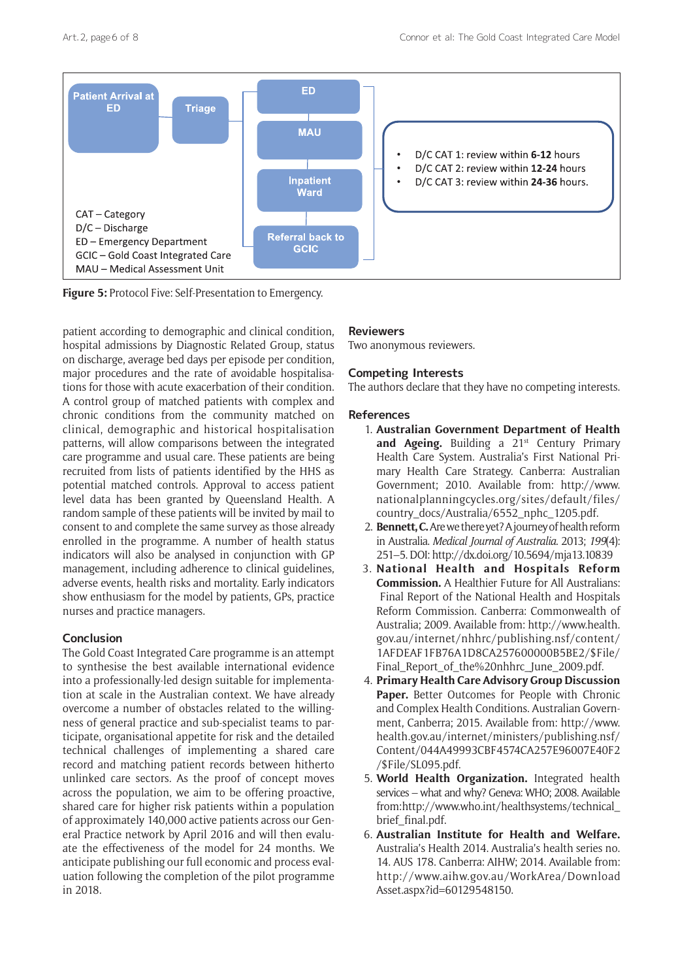

**Figure 5:** Protocol Five: Self-Presentation to Emergency.

patient according to demographic and clinical condition, hospital admissions by Diagnostic Related Group, status on discharge, average bed days per episode per condition, major procedures and the rate of avoidable hospitalisations for those with acute exacerbation of their condition. A control group of matched patients with complex and chronic conditions from the community matched on clinical, demographic and historical hospitalisation patterns, will allow comparisons between the integrated care programme and usual care. These patients are being recruited from lists of patients identified by the HHS as potential matched controls. Approval to access patient level data has been granted by Queensland Health. A random sample of these patients will be invited by mail to consent to and complete the same survey as those already enrolled in the programme. A number of health status indicators will also be analysed in conjunction with GP management, including adherence to clinical guidelines, adverse events, health risks and mortality. Early indicators show enthusiasm for the model by patients, GPs, practice nurses and practice managers.

### **Conclusion**

The Gold Coast Integrated Care programme is an attempt to synthesise the best available international evidence into a professionally-led design suitable for implementation at scale in the Australian context. We have already overcome a number of obstacles related to the willingness of general practice and sub-specialist teams to participate, organisational appetite for risk and the detailed technical challenges of implementing a shared care record and matching patient records between hitherto unlinked care sectors. As the proof of concept moves across the population, we aim to be offering proactive, shared care for higher risk patients within a population of approximately 140,000 active patients across our General Practice network by April 2016 and will then evaluate the effectiveness of the model for 24 months. We anticipate publishing our full economic and process evaluation following the completion of the pilot programme in 2018.

## **Reviewers**

Two anonymous reviewers.

## **Competing Interests**

The authors declare that they have no competing interests.

### **References**

- 1. **Australian Government Department of Health**  and Ageing. Building a 21<sup>st</sup> Century Primary Health Care System. Australia's First National Primary Health Care Strategy. Canberra: Australian Government; 2010. Available from: [http://www.](http://www.nationalplanningcycles.org/sites/default/files/country_docs/Australia/6552_nphc_1205.pdf) [nationalplanningcycles.org/sites/default/files/](http://www.nationalplanningcycles.org/sites/default/files/country_docs/Australia/6552_nphc_1205.pdf) [country\\_docs/Australia/6552\\_nphc\\_1205.pdf](http://www.nationalplanningcycles.org/sites/default/files/country_docs/Australia/6552_nphc_1205.pdf).
- 2. **Bennett, C.** Are we there yet? A journey of health reform in Australia. *Medical Journal of Australia*. 2013; *199*(4): 251–5. DOI:<http://dx.doi.org/10.5694/mja13.10839>
- 3. **National Health and Hospitals Reform Commission.** A Healthier Future for All Australians: Final Report of the National Health and Hospitals Reform Commission. Canberra: Commonwealth of Australia; 2009. Available from: [http://www.health.](http://www.health.gov.au/internet/nhhrc/publishing.nsf/content/1AFDEAF1FB76A1D8CA257600000B5BE2/$File/Final_Report_of_the%20nhhrc_June_2009.pdf) [gov.au/internet/nhhrc/publishing.nsf/content/](http://www.health.gov.au/internet/nhhrc/publishing.nsf/content/1AFDEAF1FB76A1D8CA257600000B5BE2/$File/Final_Report_of_the%20nhhrc_June_2009.pdf) [1AFDEAF1FB76A1D8CA257600000B5BE2/\\$File/](http://www.health.gov.au/internet/nhhrc/publishing.nsf/content/1AFDEAF1FB76A1D8CA257600000B5BE2/$File/Final_Report_of_the%20nhhrc_June_2009.pdf) [Final\\_Report\\_of\\_the%20nhhrc\\_June\\_2009.pdf.](http://www.health.gov.au/internet/nhhrc/publishing.nsf/content/1AFDEAF1FB76A1D8CA257600000B5BE2/$File/Final_Report_of_the%20nhhrc_June_2009.pdf)
- 4. **Primary Health Care Advisory Group Discussion**  Paper. Better Outcomes for People with Chronic and Complex Health Conditions. Australian Government, Canberra; 2015. Available from: [http://www.](http://www.health.gov.au/internet/ministers/publishing.nsf/Content/044A49993CBF4574CA257E96007E40F2/$File/SL095.pdf) [health.gov.au/internet/ministers/publishing.nsf/](http://www.health.gov.au/internet/ministers/publishing.nsf/Content/044A49993CBF4574CA257E96007E40F2/$File/SL095.pdf) [Content/044A49993CBF4574CA257E96007E40F2](http://www.health.gov.au/internet/ministers/publishing.nsf/Content/044A49993CBF4574CA257E96007E40F2/$File/SL095.pdf) [/\\$File/SL095.pdf.](http://www.health.gov.au/internet/ministers/publishing.nsf/Content/044A49993CBF4574CA257E96007E40F2/$File/SL095.pdf)
- 5. **World Health Organization.** Integrated health services – what and why? Geneva: WHO; 2008. Available from[: http://www.who.int/healthsystems/technical\\_](http://www.who.int/healthsystems/technical_brief_final.pdf) brief final.pdf.
- 6. **Australian Institute for Health and Welfare.** Australia's Health 2014. Australia's health series no. 14. AUS 178. Canberra: AIHW; 2014. Available from: [http://www.aihw.gov.au/WorkArea/Download](http://www.aihw.gov.au/WorkArea/DownloadAsset.aspx?id=60129548150) [Asset.aspx?id=60129548150](http://www.aihw.gov.au/WorkArea/DownloadAsset.aspx?id=60129548150).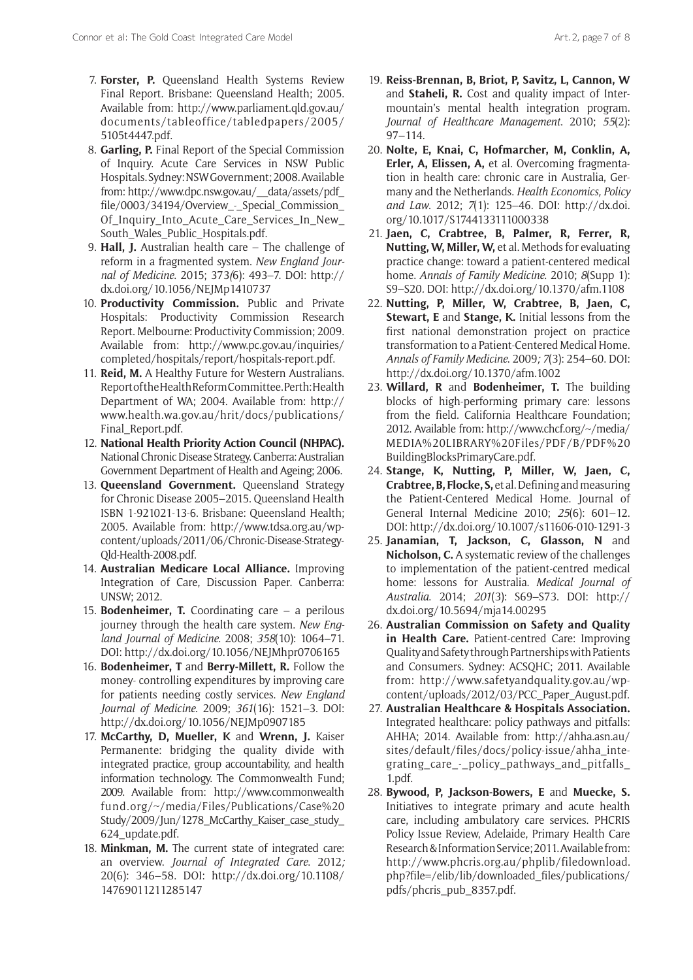- 7. **Forster, P.** Queensland Health Systems Review Final Report. Brisbane: Queensland Health; 2005. Available from: [http://www.parliament.qld.gov.au/](http://www.parliament.qld.gov.au/documents/tableoffice/tabledpapers/2005/5105t4447.pdf) [documents/tableoffice/tabledpapers/2005/](http://www.parliament.qld.gov.au/documents/tableoffice/tabledpapers/2005/5105t4447.pdf) [5105t4447.pdf](http://www.parliament.qld.gov.au/documents/tableoffice/tabledpapers/2005/5105t4447.pdf).
- 8. **Garling, P.** Final Report of the Special Commission of Inquiry. Acute Care Services in NSW Public Hospitals. Sydney: NSW Government; 2008. Available from: [http://www.dpc.nsw.gov.au/\\_\\_data/assets/pdf\\_](http://www.dpc.nsw.gov.au/__data/assets/pdf_file/0003/34194/Overview_-_Special_Commission_Of_Inquiry_Into_Acute_Care_Services_In_New_South_Wales_Public_Hospitals.pdf) [file/0003/34194/Overview\\_-\\_Special\\_Commission\\_](http://www.dpc.nsw.gov.au/__data/assets/pdf_file/0003/34194/Overview_-_Special_Commission_Of_Inquiry_Into_Acute_Care_Services_In_New_South_Wales_Public_Hospitals.pdf) [Of\\_Inquiry\\_Into\\_Acute\\_Care\\_Services\\_In\\_New\\_](http://www.dpc.nsw.gov.au/__data/assets/pdf_file/0003/34194/Overview_-_Special_Commission_Of_Inquiry_Into_Acute_Care_Services_In_New_South_Wales_Public_Hospitals.pdf) [South\\_Wales\\_Public\\_Hospitals.pdf.](http://www.dpc.nsw.gov.au/__data/assets/pdf_file/0003/34194/Overview_-_Special_Commission_Of_Inquiry_Into_Acute_Care_Services_In_New_South_Wales_Public_Hospitals.pdf)
- 9. **Hall, J.** Australian health care The challenge of reform in a fragmented system. *New England Journal of Medicine*. 2015; 373*(*6): 493–7. DOI: [http://](http://dx.doi.org/10.1056/NEJMp1410737) [dx.doi.org/10.1056/NEJMp1410737](http://dx.doi.org/10.1056/NEJMp1410737)
- 10. **Productivity Commission.** Public and Private Hospitals: Productivity Commission Research Report. Melbourne: Productivity Commission; 2009. Available from: [http://www.pc.gov.au/inquiries/](http://www.pc.gov.au/inquiries/completed/hospitals/report/hospitals-report.pdf) [completed/hospitals/report/hospitals-report.pdf.](http://www.pc.gov.au/inquiries/completed/hospitals/report/hospitals-report.pdf)
- 11. **Reid, M.** A Healthy Future for Western Australians. Report of the Health Reform Committee. Perth: Health Department of WA; 2004. Available from: [http://](http://www.health.wa.gov.au/hrit/docs/publications/Final_Report.pdf) [www.health.wa.gov.au/hrit/docs/publications/](http://www.health.wa.gov.au/hrit/docs/publications/Final_Report.pdf) [Final\\_Report.pdf](http://www.health.wa.gov.au/hrit/docs/publications/Final_Report.pdf).
- 12. **National Health Priority Action Council (NHPAC).** National Chronic Disease Strategy. Canberra: Australian Government Department of Health and Ageing; 2006.
- 13. **Queensland Government.** Queensland Strategy for Chronic Disease 2005–2015. Queensland Health ISBN 1-921021-13-6. Brisbane: Queensland Health; 2005. Available from: [http://www.tdsa.org.au/wp](http://www.tdsa.org.au/wp-content/uploads/2011/06/Chronic-Disease-Strategy-Qld-Health-2008.pdf)[content/uploads/2011/06/Chronic-Disease-Strategy-](http://www.tdsa.org.au/wp-content/uploads/2011/06/Chronic-Disease-Strategy-Qld-Health-2008.pdf)[Qld-Health-2008.pdf.](http://www.tdsa.org.au/wp-content/uploads/2011/06/Chronic-Disease-Strategy-Qld-Health-2008.pdf)
- 14. **Australian Medicare Local Alliance.** Improving Integration of Care, Discussion Paper. Canberra: UNSW; 2012.
- 15. **Bodenheimer, T.** Coordinating care a perilous journey through the health care system. *New England Journal of Medicine*. 2008; *358*(10): 1064–71. DOI:<http://dx.doi.org/10.1056/NEJMhpr0706165>
- 16. **Bodenheimer, T** and **Berry-Millett, R.** Follow the money- controlling expenditures by improving care for patients needing costly services. *New England Journal of Medicine*. 2009; *361*(16): 1521–3. DOI: <http://dx.doi.org/10.1056/NEJMp0907185>
- 17. **McCarthy, D, Mueller, K** and **Wrenn, J.** Kaiser Permanente: bridging the quality divide with integrated practice, group accountability, and health information technology. The Commonwealth Fund; 2009. Available from: [http://www.commonwealth](http://www.commonwealthfund.org/~/media/Files/Publications/Case%20Study/2009/Jun/1278_McCarthy_Kaiser_case_study_624_update.pdf.) [fund.org/~/media/Files/Publications/Case%20](http://www.commonwealthfund.org/~/media/Files/Publications/Case%20Study/2009/Jun/1278_McCarthy_Kaiser_case_study_624_update.pdf.) Study/2009/Jun/1278 McCarthy Kaiser case study [624\\_update.pdf.](http://www.commonwealthfund.org/~/media/Files/Publications/Case%20Study/2009/Jun/1278_McCarthy_Kaiser_case_study_624_update.pdf.)
- 18. **Minkman, M.** The current state of integrated care: an overview. *Journal of Integrated Care*. 2012*;*  20(6): 346–58. DOI: [http://dx.doi.org/10.1108/](http://dx.doi.org/10.1108/14769011211285147) [14769011211285147](http://dx.doi.org/10.1108/14769011211285147)
- 19. **Reiss-Brennan, B, Briot, P, Savitz, L, Cannon, W**  and **Staheli, R.** Cost and quality impact of Intermountain's mental health integration program. *Journal of Healthcare Management*. 2010; *55*(2): 97–114.
- 20. **Nolte, E, Knai, C, Hofmarcher, M, Conklin, A, Erler, A, Elissen, A,** et al. Overcoming fragmentation in health care: chronic care in Australia, Germany and the Netherlands. *Health Economics, Policy and Law*. 2012; *7*(1): 125–46. DOI: [http://dx.doi.](http://dx.doi.org/10.1017/S1744133111000338) [org/10.1017/S1744133111000338](http://dx.doi.org/10.1017/S1744133111000338)
- 21. **Jaen, C, Crabtree, B, Palmer, R, Ferrer, R, Nutting, W, Miller, W,** et al. Methods for evaluating practice change: toward a patient-centered medical home. *Annals of Family Medicine*. 2010; *8*(Supp 1): S9–S20*.* DOI: <http://dx.doi.org/10.1370/afm.1108>
- 22. **Nutting, P, Miller, W, Crabtree, B, Jaen, C, Stewart, E** and **Stange, K.** Initial lessons from the first national demonstration project on practice transformation to a Patient-Centered Medical Home. *Annals of Family Medicine*. 2009*; 7*(3): 254–60. DOI: <http://dx.doi.org/10.1370/afm.1002>
- 23. **Willard, R** and **Bodenheimer, T.** The building blocks of high-performing primary care: lessons from the field. California Healthcare Foundation; 2012. Available from: [http://www.chcf.org/~/media/](http://www.chcf.org/~/media/MEDIA%20LIBRARY%20Files/PDF/B/PDF%20BuildingBlocksPrimaryCare.pdf) [MEDIA%20LIBRARY%20Files/PDF/B/PDF%20](http://www.chcf.org/~/media/MEDIA%20LIBRARY%20Files/PDF/B/PDF%20BuildingBlocksPrimaryCare.pdf) [BuildingBlocksPrimaryCare.pdf.](http://www.chcf.org/~/media/MEDIA%20LIBRARY%20Files/PDF/B/PDF%20BuildingBlocksPrimaryCare.pdf)
- 24. **Stange, K, Nutting, P, Miller, W, Jaen, C, Crabtree, B, Flocke, S,** et al. Defining and measuring the Patient-Centered Medical Home. Journal of General Internal Medicine 2010; *25*(6): 601–12. DOI:<http://dx.doi.org/10.1007/s11606-010-1291-3>
- 25. **Janamian, T, Jackson, C, Glasson, N** and **Nicholson, C.** A systematic review of the challenges to implementation of the patient-centred medical home: lessons for Australia. *Medical Journal of Australia*. 2014; *201*(3): S69–S73. DOI: [http://](http://dx.doi.org/10.5694/mja14.00295) [dx.doi.org/10.5694/mja14.00295](http://dx.doi.org/10.5694/mja14.00295)
- 26. **Australian Commission on Safety and Quality in Health Care.** Patient-centred Care: Improving Quality and Safety through Partnerships with Patients and Consumers. Sydney: ACSQHC; 2011. Available from: [http://www.safetyandquality.gov.au/wp](http://www.safetyandquality.gov.au/wp-content/uploads/2012/03/PCC_Paper_August.pdf)[content/uploads/2012/03/PCC\\_Paper\\_August.pdf.](http://www.safetyandquality.gov.au/wp-content/uploads/2012/03/PCC_Paper_August.pdf)
- 27. **Australian Healthcare & Hospitals Association.** Integrated healthcare: policy pathways and pitfalls: AHHA; 2014. Available from: [http://ahha.asn.au/](http://ahha.asn.au/sites/default/files/docs/policy-issue/ahha_integrating_care_-_policy_pathways_and_pitfalls_1.pdf) [sites/default/files/docs/policy-issue/ahha\\_inte](http://ahha.asn.au/sites/default/files/docs/policy-issue/ahha_integrating_care_-_policy_pathways_and_pitfalls_1.pdf)grating care - policy pathways and pitfalls [1.pdf.](http://ahha.asn.au/sites/default/files/docs/policy-issue/ahha_integrating_care_-_policy_pathways_and_pitfalls_1.pdf)
- 28. **Bywood, P, Jackson-Bowers, E** and **Muecke, S.** Initiatives to integrate primary and acute health care, including ambulatory care services. PHCRIS Policy Issue Review, Adelaide, Primary Health Care Research & Information Service; 2011. Available from: [http://www.phcris.org.au/phplib/filedownload.](http://www.phcris.org.au/phplib/filedownload.php?file=/elib/lib/downloaded_files/publications/pdfs/phcris_pub_8357.pdf) [php?file=/elib/lib/downloaded\\_files/publications/](http://www.phcris.org.au/phplib/filedownload.php?file=/elib/lib/downloaded_files/publications/pdfs/phcris_pub_8357.pdf) [pdfs/phcris\\_pub\\_8357.pdf](http://www.phcris.org.au/phplib/filedownload.php?file=/elib/lib/downloaded_files/publications/pdfs/phcris_pub_8357.pdf).